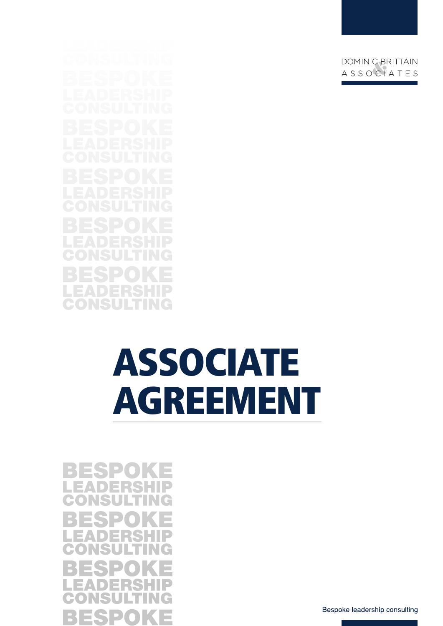m.

# ASSOCIATE AGREEMENT

ES L, ES B P u. DOMINIC BRITTAIN ASSOCIATES

Bespoke leadership consulting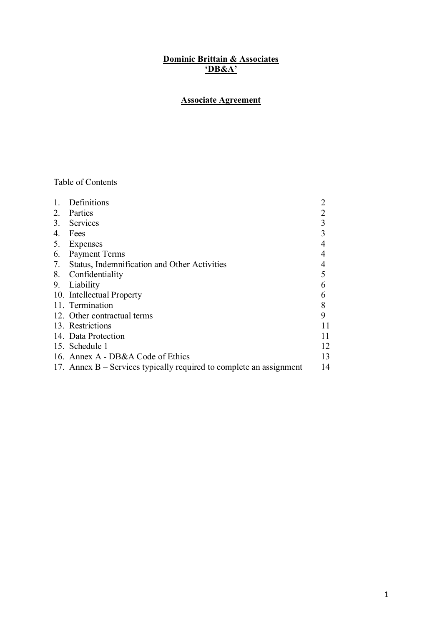#### **Dominic Brittain & Associates 'DB&A'**

# **Associate Agreement**

## Table of Contents

|    | Definitions                                                           |    |
|----|-----------------------------------------------------------------------|----|
| 2. | Parties                                                               | 2  |
| 3. | Services                                                              | 3  |
| 4. | Fees                                                                  | 3  |
| 5. | Expenses                                                              |    |
| 6. | Payment Terms                                                         |    |
| 7. | Status, Indemnification and Other Activities                          | 4  |
| 8. | Confidentiality                                                       | 5  |
| 9. | Liability                                                             | 6  |
|    | 10. Intellectual Property                                             | 6  |
|    | 11. Termination                                                       | 8  |
|    | 12. Other contractual terms                                           | 9  |
|    | 13. Restrictions                                                      | 11 |
|    | 14. Data Protection                                                   | 11 |
|    | 15. Schedule 1                                                        | 12 |
|    | 16. Annex A - DB&A Code of Ethics                                     | 13 |
|    | 17. Annex $B -$ Services typically required to complete an assignment | 14 |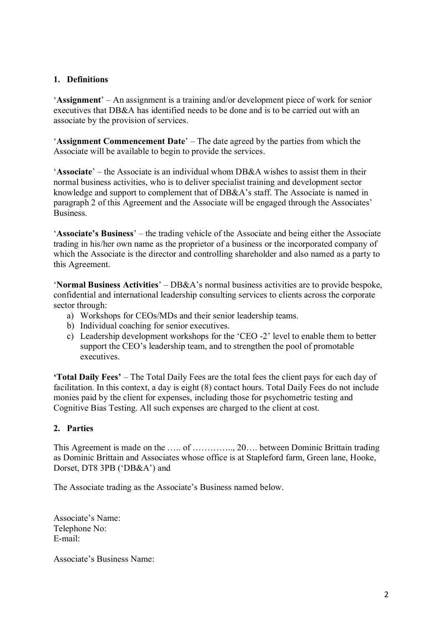## **1. Definitions**

'**Assignment**' – An assignment is a training and/or development piece of work for senior executives that DB&A has identified needs to be done and is to be carried out with an associate by the provision of services.

'**Assignment Commencement Date**' – The date agreed by the parties from which the Associate will be available to begin to provide the services.

'**Associate**' – the Associate is an individual whom DB&A wishes to assist them in their normal business activities, who is to deliver specialist training and development sector knowledge and support to complement that of DB&A's staff. The Associate is named in paragraph 2 of this Agreement and the Associate will be engaged through the Associates' Business.

'**Associate's Business**' – the trading vehicle of the Associate and being either the Associate trading in his/her own name as the proprietor of a business or the incorporated company of which the Associate is the director and controlling shareholder and also named as a party to this Agreement.

'**Normal Business Activities**' – DB&A's normal business activities are to provide bespoke, confidential and international leadership consulting services to clients across the corporate sector through:

- a) Workshops for CEOs/MDs and their senior leadership teams.
- b) Individual coaching for senior executives.
- c) Leadership development workshops for the 'CEO -2' level to enable them to better support the CEO's leadership team, and to strengthen the pool of promotable executives.

**'Total Daily Fees'** – The Total Daily Fees are the total fees the client pays for each day of facilitation. In this context, a day is eight (8) contact hours. Total Daily Fees do not include monies paid by the client for expenses, including those for psychometric testing and Cognitive Bias Testing. All such expenses are charged to the client at cost.

## **2. Parties**

This Agreement is made on the ….. of ………….., 20…. between Dominic Brittain trading as Dominic Brittain and Associates whose office is at Stapleford farm, Green lane, Hooke, Dorset, DT8 3PB ('DB&A') and

The Associate trading as the Associate's Business named below.

Associate's Name: Telephone No: E-mail:

Associate's Business Name: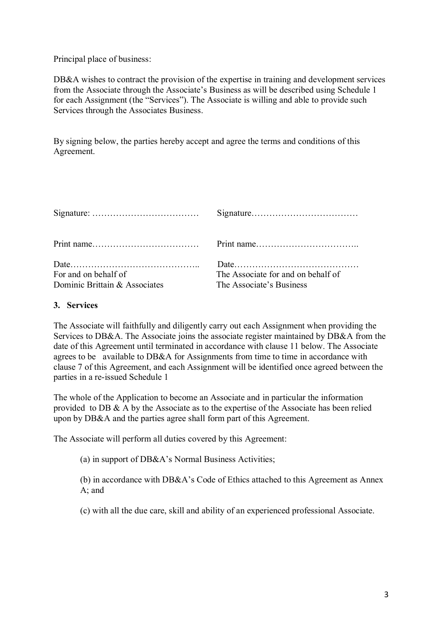Principal place of business:

DB&A wishes to contract the provision of the expertise in training and development services from the Associate through the Associate's Business as will be described using Schedule 1 for each Assignment (the "Services"). The Associate is willing and able to provide such Services through the Associates Business.

By signing below, the parties hereby accept and agree the terms and conditions of this Agreement.

| For and on behalf of          | The Associate for and on behalf of |
|-------------------------------|------------------------------------|
| Dominic Brittain & Associates | The Associate's Business           |

#### **3. Services**

The Associate will faithfully and diligently carry out each Assignment when providing the Services to DB&A. The Associate joins the associate register maintained by DB&A from the date of this Agreement until terminated in accordance with clause 11 below. The Associate agrees to be available to DB&A for Assignments from time to time in accordance with clause 7 of this Agreement, and each Assignment will be identified once agreed between the parties in a re-issued Schedule 1

The whole of the Application to become an Associate and in particular the information provided to DB & A by the Associate as to the expertise of the Associate has been relied upon by DB&A and the parties agree shall form part of this Agreement.

The Associate will perform all duties covered by this Agreement:

(a) in support of DB&A's Normal Business Activities;

(b) in accordance with DB&A's Code of Ethics attached to this Agreement as Annex A; and

(c) with all the due care, skill and ability of an experienced professional Associate.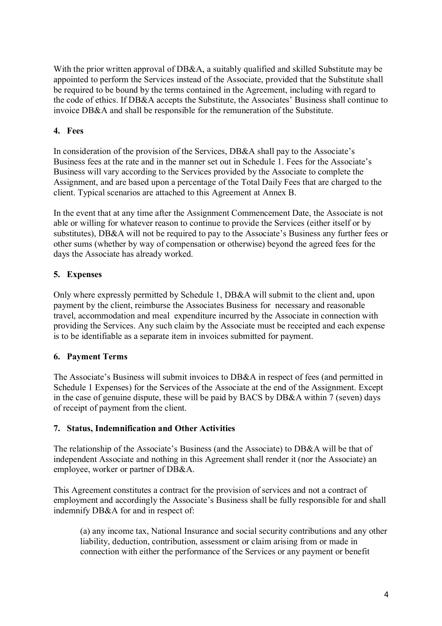With the prior written approval of DB&A, a suitably qualified and skilled Substitute may be appointed to perform the Services instead of the Associate, provided that the Substitute shall be required to be bound by the terms contained in the Agreement, including with regard to the code of ethics. If DB&A accepts the Substitute, the Associates' Business shall continue to invoice DB&A and shall be responsible for the remuneration of the Substitute.

# **4. Fees**

In consideration of the provision of the Services, DB&A shall pay to the Associate's Business fees at the rate and in the manner set out in Schedule 1. Fees for the Associate's Business will vary according to the Services provided by the Associate to complete the Assignment, and are based upon a percentage of the Total Daily Fees that are charged to the client. Typical scenarios are attached to this Agreement at Annex B.

In the event that at any time after the Assignment Commencement Date, the Associate is not able or willing for whatever reason to continue to provide the Services (either itself or by substitutes), DB&A will not be required to pay to the Associate's Business any further fees or other sums (whether by way of compensation or otherwise) beyond the agreed fees for the days the Associate has already worked.

# **5. Expenses**

Only where expressly permitted by Schedule 1, DB&A will submit to the client and, upon payment by the client, reimburse the Associates Business for necessary and reasonable travel, accommodation and meal expenditure incurred by the Associate in connection with providing the Services. Any such claim by the Associate must be receipted and each expense is to be identifiable as a separate item in invoices submitted for payment.

## **6. Payment Terms**

The Associate's Business will submit invoices to DB&A in respect of fees (and permitted in Schedule 1 Expenses) for the Services of the Associate at the end of the Assignment. Except in the case of genuine dispute, these will be paid by BACS by DB&A within 7 (seven) days of receipt of payment from the client.

## **7. Status, Indemnification and Other Activities**

The relationship of the Associate's Business (and the Associate) to DB&A will be that of independent Associate and nothing in this Agreement shall render it (nor the Associate) an employee, worker or partner of DB&A.

This Agreement constitutes a contract for the provision of services and not a contract of employment and accordingly the Associate's Business shall be fully responsible for and shall indemnify DB&A for and in respect of:

(a) any income tax, National Insurance and social security contributions and any other liability, deduction, contribution, assessment or claim arising from or made in connection with either the performance of the Services or any payment or benefit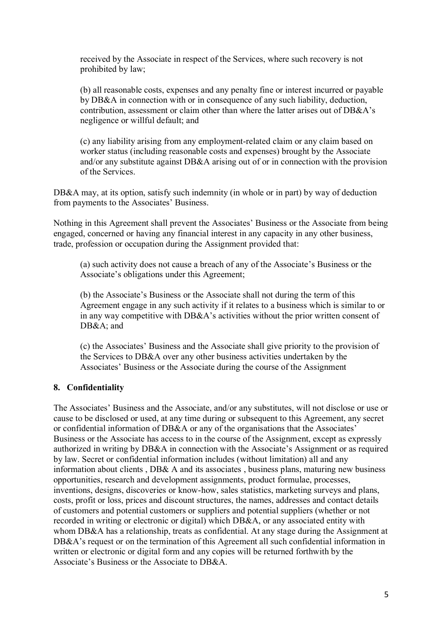received by the Associate in respect of the Services, where such recovery is not prohibited by law;

(b) all reasonable costs, expenses and any penalty fine or interest incurred or payable by DB&A in connection with or in consequence of any such liability, deduction, contribution, assessment or claim other than where the latter arises out of DB&A's negligence or willful default; and

(c) any liability arising from any employment-related claim or any claim based on worker status (including reasonable costs and expenses) brought by the Associate and/or any substitute against DB&A arising out of or in connection with the provision of the Services.

DB&A may, at its option, satisfy such indemnity (in whole or in part) by way of deduction from payments to the Associates' Business.

Nothing in this Agreement shall prevent the Associates' Business or the Associate from being engaged, concerned or having any financial interest in any capacity in any other business, trade, profession or occupation during the Assignment provided that:

(a) such activity does not cause a breach of any of the Associate's Business or the Associate's obligations under this Agreement;

(b) the Associate's Business or the Associate shall not during the term of this Agreement engage in any such activity if it relates to a business which is similar to or in any way competitive with DB&A's activities without the prior written consent of DB&A; and

(c) the Associates' Business and the Associate shall give priority to the provision of the Services to DB&A over any other business activities undertaken by the Associates' Business or the Associate during the course of the Assignment

## **8. Confidentiality**

The Associates' Business and the Associate, and/or any substitutes, will not disclose or use or cause to be disclosed or used, at any time during or subsequent to this Agreement, any secret or confidential information of DB&A or any of the organisations that the Associates' Business or the Associate has access to in the course of the Assignment, except as expressly authorized in writing by DB&A in connection with the Associate's Assignment or as required by law. Secret or confidential information includes (without limitation) all and any information about clients , DB& A and its associates , business plans, maturing new business opportunities, research and development assignments, product formulae, processes, inventions, designs, discoveries or know-how, sales statistics, marketing surveys and plans, costs, profit or loss, prices and discount structures, the names, addresses and contact details of customers and potential customers or suppliers and potential suppliers (whether or not recorded in writing or electronic or digital) which DB&A, or any associated entity with whom DB&A has a relationship, treats as confidential. At any stage during the Assignment at DB&A's request or on the termination of this Agreement all such confidential information in written or electronic or digital form and any copies will be returned forthwith by the Associate's Business or the Associate to DB&A.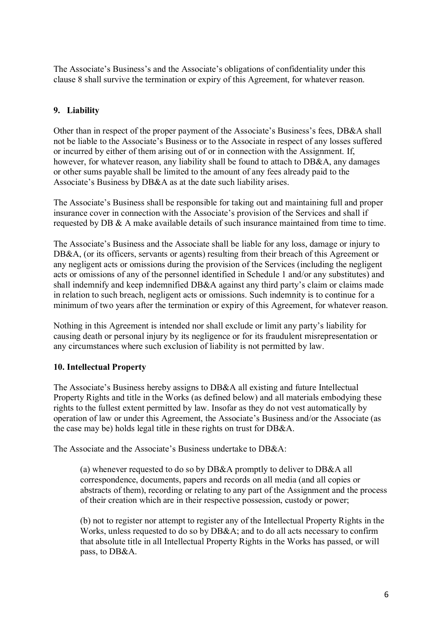The Associate's Business's and the Associate's obligations of confidentiality under this clause 8 shall survive the termination or expiry of this Agreement, for whatever reason.

# **9. Liability**

Other than in respect of the proper payment of the Associate's Business's fees, DB&A shall not be liable to the Associate's Business or to the Associate in respect of any losses suffered or incurred by either of them arising out of or in connection with the Assignment. If, however, for whatever reason, any liability shall be found to attach to DB&A, any damages or other sums payable shall be limited to the amount of any fees already paid to the Associate's Business by DB&A as at the date such liability arises.

The Associate's Business shall be responsible for taking out and maintaining full and proper insurance cover in connection with the Associate's provision of the Services and shall if requested by DB & A make available details of such insurance maintained from time to time.

The Associate's Business and the Associate shall be liable for any loss, damage or injury to DB&A, (or its officers, servants or agents) resulting from their breach of this Agreement or any negligent acts or omissions during the provision of the Services (including the negligent acts or omissions of any of the personnel identified in Schedule 1 and/or any substitutes) and shall indemnify and keep indemnified DB&A against any third party's claim or claims made in relation to such breach, negligent acts or omissions. Such indemnity is to continue for a minimum of two years after the termination or expiry of this Agreement, for whatever reason.

Nothing in this Agreement is intended nor shall exclude or limit any party's liability for causing death or personal injury by its negligence or for its fraudulent misrepresentation or any circumstances where such exclusion of liability is not permitted by law.

# **10. Intellectual Property**

The Associate's Business hereby assigns to DB&A all existing and future Intellectual Property Rights and title in the Works (as defined below) and all materials embodying these rights to the fullest extent permitted by law. Insofar as they do not vest automatically by operation of law or under this Agreement, the Associate's Business and/or the Associate (as the case may be) holds legal title in these rights on trust for DB&A.

The Associate and the Associate's Business undertake to DB&A:

(a) whenever requested to do so by DB&A promptly to deliver to DB&A all correspondence, documents, papers and records on all media (and all copies or abstracts of them), recording or relating to any part of the Assignment and the process of their creation which are in their respective possession, custody or power;

(b) not to register nor attempt to register any of the Intellectual Property Rights in the Works, unless requested to do so by DB&A; and to do all acts necessary to confirm that absolute title in all Intellectual Property Rights in the Works has passed, or will pass, to DB&A.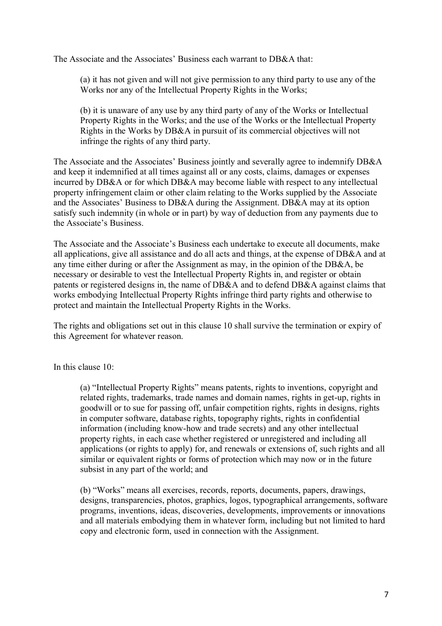The Associate and the Associates' Business each warrant to DB&A that:

(a) it has not given and will not give permission to any third party to use any of the Works nor any of the Intellectual Property Rights in the Works;

(b) it is unaware of any use by any third party of any of the Works or Intellectual Property Rights in the Works; and the use of the Works or the Intellectual Property Rights in the Works by DB&A in pursuit of its commercial objectives will not infringe the rights of any third party.

The Associate and the Associates' Business jointly and severally agree to indemnify DB&A and keep it indemnified at all times against all or any costs, claims, damages or expenses incurred by DB&A or for which DB&A may become liable with respect to any intellectual property infringement claim or other claim relating to the Works supplied by the Associate and the Associates' Business to DB&A during the Assignment. DB&A may at its option satisfy such indemnity (in whole or in part) by way of deduction from any payments due to the Associate's Business.

The Associate and the Associate's Business each undertake to execute all documents, make all applications, give all assistance and do all acts and things, at the expense of DB&A and at any time either during or after the Assignment as may, in the opinion of the DB&A, be necessary or desirable to vest the Intellectual Property Rights in, and register or obtain patents or registered designs in, the name of DB&A and to defend DB&A against claims that works embodying Intellectual Property Rights infringe third party rights and otherwise to protect and maintain the Intellectual Property Rights in the Works.

The rights and obligations set out in this clause 10 shall survive the termination or expiry of this Agreement for whatever reason.

In this clause  $10<sup>°</sup>$ 

(a) "Intellectual Property Rights" means patents, rights to inventions, copyright and related rights, trademarks, trade names and domain names, rights in get-up, rights in goodwill or to sue for passing off, unfair competition rights, rights in designs, rights in computer software, database rights, topography rights, rights in confidential information (including know-how and trade secrets) and any other intellectual property rights, in each case whether registered or unregistered and including all applications (or rights to apply) for, and renewals or extensions of, such rights and all similar or equivalent rights or forms of protection which may now or in the future subsist in any part of the world; and

(b) "Works" means all exercises, records, reports, documents, papers, drawings, designs, transparencies, photos, graphics, logos, typographical arrangements, software programs, inventions, ideas, discoveries, developments, improvements or innovations and all materials embodying them in whatever form, including but not limited to hard copy and electronic form, used in connection with the Assignment.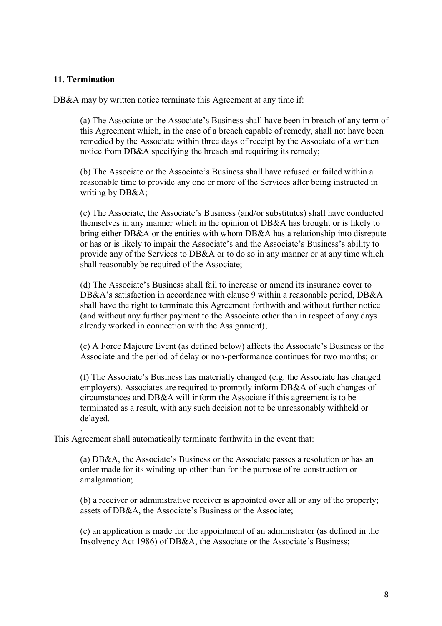#### **11. Termination**

.

DB&A may by written notice terminate this Agreement at any time if:

(a) The Associate or the Associate's Business shall have been in breach of any term of this Agreement which, in the case of a breach capable of remedy, shall not have been remedied by the Associate within three days of receipt by the Associate of a written notice from DB&A specifying the breach and requiring its remedy;

(b) The Associate or the Associate's Business shall have refused or failed within a reasonable time to provide any one or more of the Services after being instructed in writing by DB&A;

(c) The Associate, the Associate's Business (and/or substitutes) shall have conducted themselves in any manner which in the opinion of DB&A has brought or is likely to bring either DB&A or the entities with whom DB&A has a relationship into disrepute or has or is likely to impair the Associate's and the Associate's Business's ability to provide any of the Services to DB&A or to do so in any manner or at any time which shall reasonably be required of the Associate;

(d) The Associate's Business shall fail to increase or amend its insurance cover to DB&A's satisfaction in accordance with clause 9 within a reasonable period, DB&A shall have the right to terminate this Agreement forthwith and without further notice (and without any further payment to the Associate other than in respect of any days already worked in connection with the Assignment);

(e) A Force Majeure Event (as defined below) affects the Associate's Business or the Associate and the period of delay or non-performance continues for two months; or

(f) The Associate's Business has materially changed (e.g. the Associate has changed employers). Associates are required to promptly inform DB&A of such changes of circumstances and DB&A will inform the Associate if this agreement is to be terminated as a result, with any such decision not to be unreasonably withheld or delayed.

This Agreement shall automatically terminate forthwith in the event that:

(a) DB&A, the Associate's Business or the Associate passes a resolution or has an order made for its winding-up other than for the purpose of re-construction or amalgamation;

(b) a receiver or administrative receiver is appointed over all or any of the property; assets of DB&A, the Associate's Business or the Associate;

(c) an application is made for the appointment of an administrator (as defined in the Insolvency Act 1986) of DB&A, the Associate or the Associate's Business;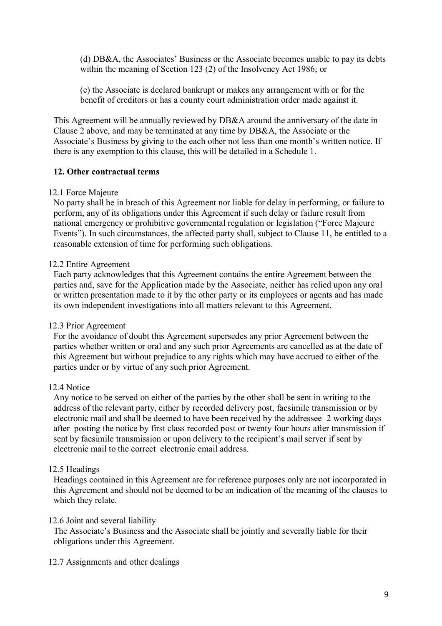(d) DB&A, the Associates' Business or the Associate becomes unable to pay its debts within the meaning of Section 123 (2) of the Insolvency Act 1986; or

(e) the Associate is declared bankrupt or makes any arrangement with or for the benefit of creditors or has a county court administration order made against it.

This Agreement will be annually reviewed by DB&A around the anniversary of the date in Clause 2 above, and may be terminated at any time by DB&A, the Associate or the Associate's Business by giving to the each other not less than one month's written notice. If there is any exemption to this clause, this will be detailed in a Schedule 1.

## **12. Other contractual terms**

#### 12.1 Force Majeure

No party shall be in breach of this Agreement nor liable for delay in performing, or failure to perform, any of its obligations under this Agreement if such delay or failure result from national emergency or prohibitive governmental regulation or legislation ("Force Majeure Events"). In such circumstances, the affected party shall, subject to Clause 11, be entitled to a reasonable extension of time for performing such obligations.

## 12.2 Entire Agreement

Each party acknowledges that this Agreement contains the entire Agreement between the parties and, save for the Application made by the Associate, neither has relied upon any oral or written presentation made to it by the other party or its employees or agents and has made its own independent investigations into all matters relevant to this Agreement.

## 12.3 Prior Agreement

For the avoidance of doubt this Agreement supersedes any prior Agreement between the parties whether written or oral and any such prior Agreements are cancelled as at the date of this Agreement but without prejudice to any rights which may have accrued to either of the parties under or by virtue of any such prior Agreement.

#### 12.4 Notice

Any notice to be served on either of the parties by the other shall be sent in writing to the address of the relevant party, either by recorded delivery post, facsimile transmission or by electronic mail and shall be deemed to have been received by the addressee 2 working days after posting the notice by first class recorded post or twenty four hours after transmission if sent by facsimile transmission or upon delivery to the recipient's mail server if sent by electronic mail to the correct electronic email address.

## 12.5 Headings

Headings contained in this Agreement are for reference purposes only are not incorporated in this Agreement and should not be deemed to be an indication of the meaning of the clauses to which they relate.

#### 12.6 Joint and several liability

The Associate's Business and the Associate shall be jointly and severally liable for their obligations under this Agreement.

#### 12.7 Assignments and other dealings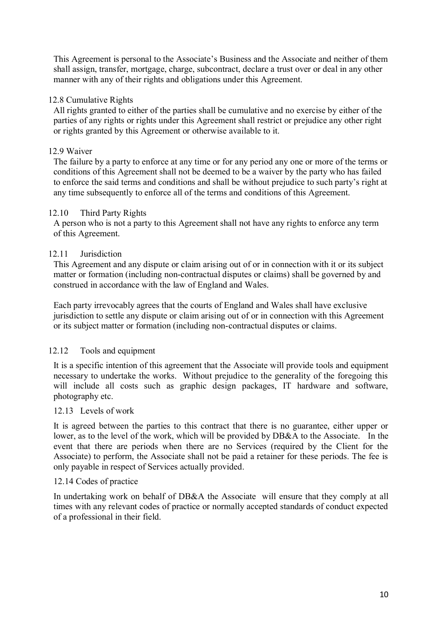This Agreement is personal to the Associate's Business and the Associate and neither of them shall assign, transfer, mortgage, charge, subcontract, declare a trust over or deal in any other manner with any of their rights and obligations under this Agreement.

## 12.8 Cumulative Rights

All rights granted to either of the parties shall be cumulative and no exercise by either of the parties of any rights or rights under this Agreement shall restrict or prejudice any other right or rights granted by this Agreement or otherwise available to it.

#### 12.9 Waiver

The failure by a party to enforce at any time or for any period any one or more of the terms or conditions of this Agreement shall not be deemed to be a waiver by the party who has failed to enforce the said terms and conditions and shall be without prejudice to such party's right at any time subsequently to enforce all of the terms and conditions of this Agreement.

#### 12.10 Third Party Rights

A person who is not a party to this Agreement shall not have any rights to enforce any term of this Agreement.

#### 12.11 Jurisdiction

This Agreement and any dispute or claim arising out of or in connection with it or its subject matter or formation (including non-contractual disputes or claims) shall be governed by and construed in accordance with the law of England and Wales.

Each party irrevocably agrees that the courts of England and Wales shall have exclusive jurisdiction to settle any dispute or claim arising out of or in connection with this Agreement or its subject matter or formation (including non-contractual disputes or claims.

## 12.12 Tools and equipment

It is a specific intention of this agreement that the Associate will provide tools and equipment necessary to undertake the works. Without prejudice to the generality of the foregoing this will include all costs such as graphic design packages. IT hardware and software, photography etc.

#### 12.13 Levels of work

It is agreed between the parties to this contract that there is no guarantee, either upper or lower, as to the level of the work, which will be provided by DB&A to the Associate. In the event that there are periods when there are no Services (required by the Client for the Associate) to perform, the Associate shall not be paid a retainer for these periods. The fee is only payable in respect of Services actually provided.

#### 12.14 Codes of practice

In undertaking work on behalf of DB&A the Associate will ensure that they comply at all times with any relevant codes of practice or normally accepted standards of conduct expected of a professional in their field.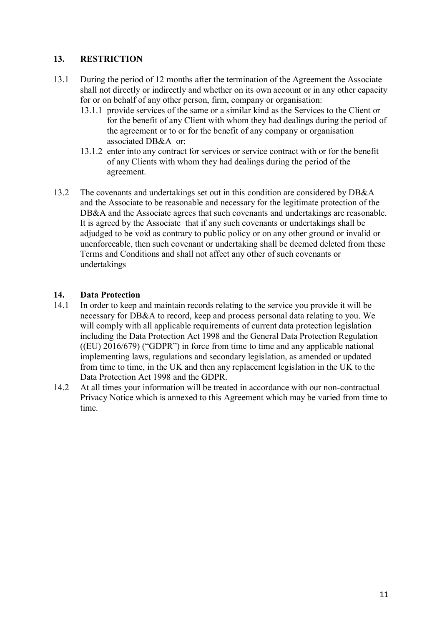# **13. RESTRICTION**

- 13.1 During the period of 12 months after the termination of the Agreement the Associate shall not directly or indirectly and whether on its own account or in any other capacity for or on behalf of any other person, firm, company or organisation:
	- 13.1.1 provide services of the same or a similar kind as the Services to the Client or for the benefit of any Client with whom they had dealings during the period of the agreement or to or for the benefit of any company or organisation associated DB&A or;
	- 13.1.2 enter into any contract for services or service contract with or for the benefit of any Clients with whom they had dealings during the period of the agreement.
- 13.2 The covenants and undertakings set out in this condition are considered by DB&A and the Associate to be reasonable and necessary for the legitimate protection of the DB&A and the Associate agrees that such covenants and undertakings are reasonable. It is agreed by the Associate that if any such covenants or undertakings shall be adjudged to be void as contrary to public policy or on any other ground or invalid or unenforceable, then such covenant or undertaking shall be deemed deleted from these Terms and Conditions and shall not affect any other of such covenants or undertakings

## **14. Data Protection**

- 14.1 In order to keep and maintain records relating to the service you provide it will be necessary for DB&A to record, keep and process personal data relating to you. We will comply with all applicable requirements of current data protection legislation including the Data Protection Act 1998 and the General Data Protection Regulation  $((EU) 2016/679)$  ("GDPR") in force from time to time and any applicable national implementing laws, regulations and secondary legislation, as amended or updated from time to time, in the UK and then any replacement legislation in the UK to the Data Protection Act 1998 and the GDPR.
- 14.2 At all times your information will be treated in accordance with our non-contractual Privacy Notice which is annexed to this Agreement which may be varied from time to time.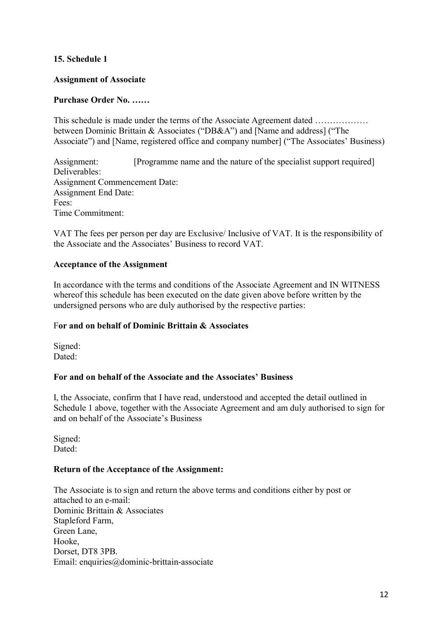## **15. Schedule 1**

#### **Assignment of Associate**

## **Purchase Order No. ……**

This schedule is made under the terms of the Associate Agreement dated ……………… between Dominic Brittain & Associates ("DB&A") and [Name and address] ("The Associate") and [Name, registered office and company number] ("The Associates' Business)

Assignment: [Programme name and the nature of the specialist support required] Deliverables: Assignment Commencement Date: Assignment End Date: Fees: Time Commitment:

VAT The fees per person per day are Exclusive/ Inclusive of VAT. It is the responsibility of the Associate and the Associates' Business to record VAT.

#### **Acceptance of the Assignment**

In accordance with the terms and conditions of the Associate Agreement and IN WITNESS whereof this schedule has been executed on the date given above before written by the undersigned persons who are duly authorised by the respective parties:

#### F**or and on behalf of Dominic Brittain & Associates**

Signed: Dated<sup>-</sup>

#### **For and on behalf of the Associate and the Associates' Business**

I, the Associate, confirm that I have read, understood and accepted the detail outlined in Schedule 1 above, together with the Associate Agreement and am duly authorised to sign for and on behalf of the Associate's Business

Signed: Dated<sup>-</sup>

#### **Return of the Acceptance of the Assignment:**

The Associate is to sign and return the above terms and conditions either by post or attached to an e-mail: Dominic Brittain & Associates Stapleford Farm, Green Lane, Hooke, Dorset, DT8 3PB. Email: enquiries@dominic-brittain-associate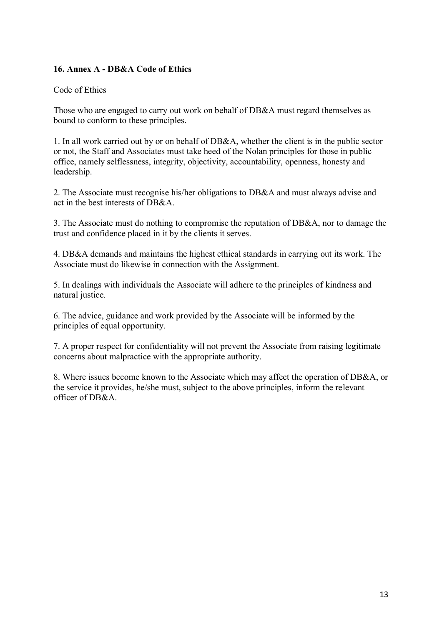## **16. Annex A - DB&A Code of Ethics**

## Code of Ethics

Those who are engaged to carry out work on behalf of DB&A must regard themselves as bound to conform to these principles.

1. In all work carried out by or on behalf of DB&A, whether the client is in the public sector or not, the Staff and Associates must take heed of the Nolan principles for those in public office, namely selflessness, integrity, objectivity, accountability, openness, honesty and leadership.

2. The Associate must recognise his/her obligations to DB&A and must always advise and act in the best interests of DB&A.

3. The Associate must do nothing to compromise the reputation of DB&A, nor to damage the trust and confidence placed in it by the clients it serves.

4. DB&A demands and maintains the highest ethical standards in carrying out its work. The Associate must do likewise in connection with the Assignment.

5. In dealings with individuals the Associate will adhere to the principles of kindness and natural justice.

6. The advice, guidance and work provided by the Associate will be informed by the principles of equal opportunity.

7. A proper respect for confidentiality will not prevent the Associate from raising legitimate concerns about malpractice with the appropriate authority.

8. Where issues become known to the Associate which may affect the operation of DB&A, or the service it provides, he/she must, subject to the above principles, inform the relevant officer of  $DR&A$